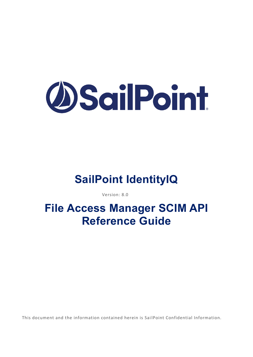# **DSailPoint**

# **SailPoint IdentityIQ**

Version: 8.0

# **File Access Manager SCIM API Reference Guide**

This document and the information contained herein is Sai lPoint Confidential Information.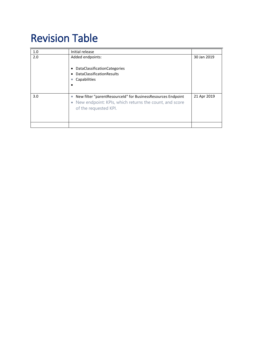# Revision Table

| Initial release                                                                                                                                   |             |
|---------------------------------------------------------------------------------------------------------------------------------------------------|-------------|
| Added endpoints:<br><b>DataClassificationCategories</b><br>٠<br><b>DataClassificationResults</b><br>Capabilities                                  | 30 Jan 2019 |
| New filter "parentResourceId" for BusinessResources Endpoint<br>• New endpoint: KPIs, which returns the count, and score<br>of the requested KPI. | 21 Apr 2019 |
|                                                                                                                                                   |             |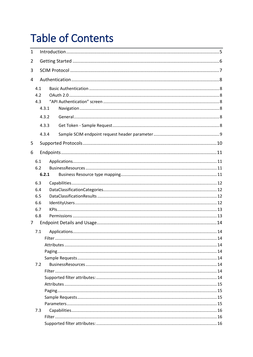# **Table of Contents**

| $\mathbf{1}$   |     |       |  |
|----------------|-----|-------|--|
| 2              |     |       |  |
| 3              |     |       |  |
| 4              |     |       |  |
|                | 4.1 |       |  |
|                | 4.2 |       |  |
|                | 4.3 |       |  |
|                |     | 4.3.1 |  |
|                |     | 4.3.2 |  |
|                |     | 4.3.3 |  |
|                |     | 4.3.4 |  |
| 5              |     |       |  |
| 6              |     |       |  |
|                | 6.1 |       |  |
|                | 6.2 |       |  |
|                |     | 6.2.1 |  |
|                | 6.3 |       |  |
|                | 6.4 |       |  |
|                | 6.5 |       |  |
|                | 6.6 |       |  |
|                | 6.7 |       |  |
|                | 6.8 |       |  |
| $\overline{7}$ |     |       |  |
|                | 7.1 |       |  |
|                |     |       |  |
|                |     |       |  |
|                |     |       |  |
|                |     |       |  |
|                | 7.2 |       |  |
|                |     |       |  |
|                |     |       |  |
|                |     |       |  |
|                |     |       |  |
|                |     |       |  |
|                |     |       |  |
|                | 7.3 |       |  |
|                |     |       |  |
|                |     |       |  |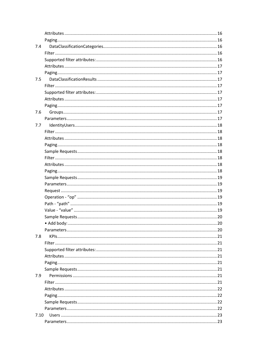| 7.4  |  |
|------|--|
|      |  |
|      |  |
|      |  |
|      |  |
| 7.5  |  |
|      |  |
|      |  |
|      |  |
|      |  |
| 7.6  |  |
|      |  |
| 7.7  |  |
|      |  |
|      |  |
|      |  |
|      |  |
|      |  |
|      |  |
|      |  |
|      |  |
|      |  |
|      |  |
|      |  |
|      |  |
|      |  |
|      |  |
|      |  |
|      |  |
| 7.8  |  |
|      |  |
|      |  |
|      |  |
|      |  |
|      |  |
|      |  |
| 7.9  |  |
|      |  |
|      |  |
|      |  |
|      |  |
|      |  |
| 7.10 |  |
|      |  |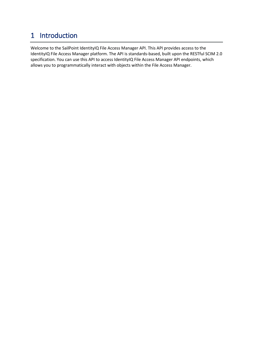## <span id="page-4-0"></span>1 Introduction

Welcome to the SailPoint IdentityIQ File Access Manager API. This API provides access to the IdentityIQ File Access Manager platform. The API is standards-based, built upon the RESTful SCIM 2.0 specification. You can use this API to access IdentityIQ File Access Manager API endpoints, which allows you to programmatically interact with objects within the File Access Manager.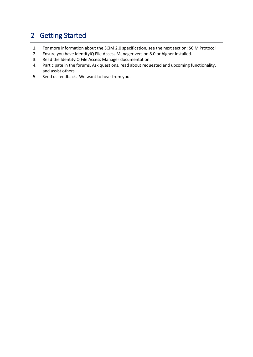## <span id="page-5-0"></span>2 Getting Started

- 1. For more information about the SCIM 2.0 specification, see the next section: SCIM Protocol
- 2. Ensure you have IdentityIQ File Access Manager version 8.0 or higher installed.
- 3. Read the IdentityIQ File Access Manager documentation.
- 4. Participate in the forums. Ask questions, read about requested and upcoming functionality, and assist others.
- 5. Send us feedback. We want to hear from you.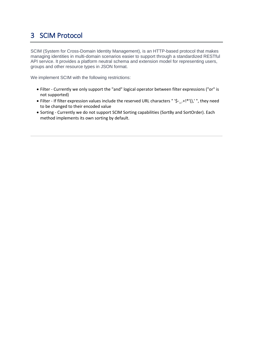# <span id="page-6-0"></span>3 SCIM Protocol

SCIM (System for Cross-Domain Identity Management), is an HTTP-based protocol that makes managing identities in multi-domain scenarios easier to support through a standardized RESTful API service. It provides a platform neutral schema and extension model for representing users, groups and other resource types in JSON format.

We implement SCIM with the following restrictions:

- Filter Currently we only support the "and" logical operator between filter expressions ("or" is not supported)
- Filter If filter expression values include the reserved URL characters " '\$-\_.+!\*'(),' ", they need to be changed to their encoded value
- Sorting Currently we do not support SCIM Sorting capabilities (SortBy and SortOrder). Each method implements its own sorting by default.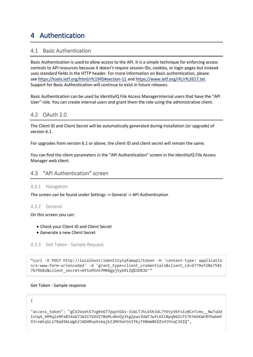### <span id="page-7-0"></span>4 Authentication

#### <span id="page-7-1"></span>4.1 Basic Authentication

Basic Authentication is used to allow access to the API. It is a simple technique for enforcing access controls to API resources because it doesn't require session IDs, cookies, or login pages but instead uses standard fields in the HTTP header. For more information on Basic authentication, please see <https://tools.ietf.org/html/rfc1945#section-11> and [https://www.ietf.org/rfc/rfc2617.txt.](https://www.ietf.org/rfc/rfc2617.txt) Support for Basic Authentication will continue to exist in future releases.

Basic Authentication can be used by IdentityIQ File Access Managerinternal users that have the "API User" role. You can create internal users and grant them the role using the administrative client.

#### <span id="page-7-2"></span>4.2 OAuth 2.0

The Client ID and Client Secret will be automatically generated during installation (or upgrade) of version 6.1.

For upgrades from version 6.1 or above, the client ID and client secret will remain the same.

You can find the client parameters in the "API Authentication" screen in the IdentityIQ File Access Manager web client.

#### <span id="page-7-3"></span>4.3 "API Authentication" screen

#### <span id="page-7-4"></span>4.3.1 Navigation

The screen can be found under Settings -> General -> API Authentication

#### <span id="page-7-5"></span>4.3.2 General

On this screen you can:

- Check your Client ID and Client Secret
- Generate a new Client Secret

<span id="page-7-6"></span>4.3.3 Get Token - Sample Request

"curl -X POST http://localhost/identityiqfamapi/token -H 'content-type: applicatio n/x-www-form-urlencoded' -d 'grant\_type=client\_credentials&client\_id=6779ef20e7581 7b79602&client\_secret=mY5zM5nh7MR8gpj5yG9iIQ%3D%3D'"

#### Get Token - Sample response

#### {

"access\_token": "gCV2VxetE7vgRxG77pqztGSs-3lWLTJhLG5K3dL7YbtyV6Ys1z0CnTcmv\_\_NwTuOd IcUq4\_bM9q2xRPa8I4ab7JW31T6XVZ70eMLdAnOy3tgZpaz3UWTJwfLKEi8pqN6ZcF57kYmSKWrBYOabmY 9JrvWtqSLsTBaX9ALWgK2JADHMvpXsbqjkI2MV9xh3nIYKyTX0mW8EOZx9JhtqC3XIQ",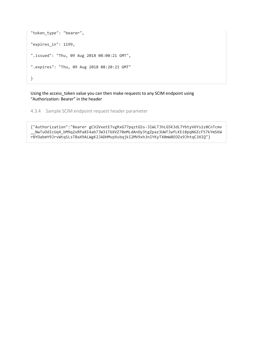```
"token_type": "bearer",
"expires_in": 1199,
".issued": "Thu, 09 Aug 2018 08:00:21 GMT",
".expires": "Thu, 09 Aug 2018 08:20:21 GMT"
}
```
Using the access\_token value you can then make requests to any SCIM endpoint using "Authorization: Bearer" in the header

<span id="page-8-0"></span>4.3.4 Sample SCIM endpoint request header parameter

{"Authorization":"Bearer gCV2VxetE7vgRxG77pqztGSs-3lWLTJhLG5K3dL7YbtyV6Ys1z0CnTcmv \_\_NwTuOdIcUq4\_bM9q2xRPa8I4ab7JW31T6XVZ70eMLdAnOy3tgZpaz3UWTJwfLKEi8pqN6ZcF57kYmSKW rBYOabmY9JrvWtqSLsTBaX9ALWgK2JADHMvpXsbqjkI2MV9xh3nIYKyTX0mW8EOZx9JhtqC3XIQ"}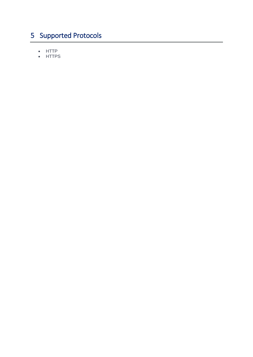# <span id="page-9-0"></span>5 Supported Protocols

- HTTP
- HTTPS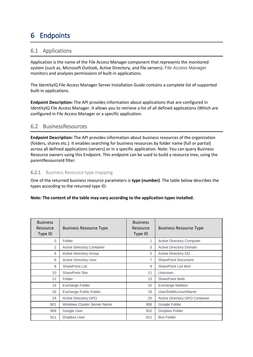# <span id="page-10-0"></span>6 Endpoints

#### <span id="page-10-1"></span>6.1 Applications

Application is the name of the File Access Manager component that represents the monitored system (such as, Microsoft Outlook, Active Directory, and file servers). File Access Manager monitors and analyzes permissions of built-in applications.

The IdentityIQ File Access Manager Server Installation Guide contains a complete list of supported built-in applications.

**Endpoint Description:** The API provides information about applications that are configured in IdentityIQ File Access Manager. It allows you to retrieve a list of all defined applications (Which are configured in File Access Manager or a specific application.

#### <span id="page-10-2"></span>6.2 BusinessResources

**Endpoint Description:** The API provides information about business resources of the organization (folders, shares etc.). It enables searching for business resources by folder name (full or partial) across all defined applications (servers) or in a specific application. Note: You can query Business Resource owners using this Endpoint. This endpoint can be used to build a resource tree, using the parentResourceId filter.

#### <span id="page-10-3"></span>**6.2.1** Business Resource type mapping

One of the returned business resource parameters is **type (number)**. The table below describes the types according to the returned type ID:

#### **Note: The content of the table may vary according to the application types installed.**

| <b>Business</b><br>Resource<br>Type ID | <b>Business Resource Type</b>      | <b>Business</b><br>Resource<br>Type ID | <b>Business Resource Type</b>         |
|----------------------------------------|------------------------------------|----------------------------------------|---------------------------------------|
| $\Omega$                               | Folder                             | 1                                      | <b>Active Directory Computer</b>      |
| 2                                      | <b>Active Directory Container</b>  | 3                                      | <b>Active Directory Domain</b>        |
| 4                                      | <b>Active Directory Group</b>      | 5                                      | Active Directory OU                   |
| 6                                      | <b>Active Directory User</b>       | $\overline{7}$                         | <b>SharePoint Document</b>            |
| 8                                      | <b>SharePoint List</b>             | 9                                      | <b>SharePoint List Item</b>           |
| 10                                     | <b>SharePoint Site</b>             | 11                                     | Unknown                               |
| 12                                     | Folder                             | 13                                     | SharePoint Web                        |
| 14                                     | Exchange Folder                    | 15                                     | <b>Exchange Mailbox</b>               |
| 16                                     | <b>Exchange Public Folder</b>      | 18                                     | <b>UserSAMAccountName</b>             |
| 24                                     | <b>Active Directory GPO</b>        | 25                                     | <b>Active Directory GPO Container</b> |
| 801                                    | <b>Windows Cluster Server Name</b> | 908                                    | Google Folder                         |
| 909                                    | Google User                        | 910                                    | Dropbox Folder                        |
| 911                                    | Dropbox User                       | 912                                    | <b>Box Folder</b>                     |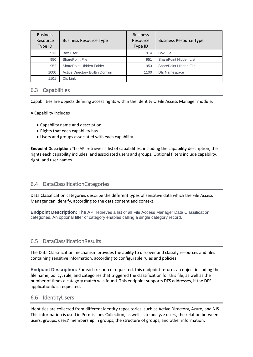| <b>Business</b><br>Resource<br>Type ID | <b>Business Resource Type</b>   | <b>Business</b><br>Resource<br>Type ID | <b>Business Resource Type</b> |
|----------------------------------------|---------------------------------|----------------------------------------|-------------------------------|
| 913                                    | Box User                        | 914                                    | <b>Box File</b>               |
| 950                                    | SharePoint File                 | 951                                    | SharePoint Hidden List        |
| 952                                    | SharePoint Hidden Folder        | 953                                    | SharePoint Hidden File        |
| 1000                                   | Active Directory Builtin Domain | 1100                                   | Dfs Namespace                 |
| 1101                                   | Dfs Link                        |                                        |                               |

#### <span id="page-11-0"></span>6.3 Capabilities

Capabilities are objects defining access rights within the IdentityIQ File Access Manager module.

A Capability includes

- Capability name and description
- Rights that each capability has
- Users and groups associated with each capability

**Endpoint Description:** The API retrieves a list of capabilities, including the capability description, the rights each capability includes, and associated users and groups. Optional filters include capability, right, and user names.

#### <span id="page-11-1"></span>6.4 DataClassificationCategories

Data Classification categories describe the different types of sensitive data which the File Access Manager can identify, according to the data content and context.

**Endpoint Description:** The API retrieves a list of all File Access Manager Data Classification categories. An optional filter of category enables calling a single category record.

#### <span id="page-11-2"></span>6.5 DataClassificationResults

The Data Classification mechanism provides the ability to discover and classify resources and files containing sensitive information, according to configurable rules and policies.

**Endpoint Description:** For each resource requested, this endpoint returns an object including the file name, policy, rule, and categories that triggered the classification for this file, as well as the number of times a category match was found. This endpoint supports DFS addresses, if the DFS applicationId is requested.

#### <span id="page-11-3"></span>6.6 IdentityUsers

Identities are collected from different identity repositories, such as Active Directory, Azure, and NIS. This information is used in Permissions Collection, as well as to analyze users, the relation between users, groups, users' membership in groups, the structure of groups, and other information.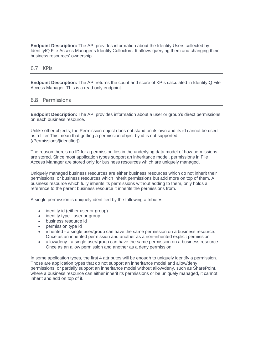**Endpoint Description:** The API provides information about the Identity Users collected by IdentityIQ File Access Manager's Identity Collectors. It allows querying them and changing their business resources' ownership.

#### <span id="page-12-0"></span>6.7 KPIs

**Endpoint Description:** The API returns the count and score of KPIs calculated in IdentityIQ File Access Manager. This is a read only endpoint.

#### <span id="page-12-1"></span>6.8 Permissions

**Endpoint Description:** The API provides information about a user or group's direct permissions on each business resource.

Unlike other objects, the Permission object does not stand on its own and its id cannot be used as a filter This mean that getting a permission object by id is not supported (/Permissions/[identifier]).

The reason there's no ID for a permission lies in the underlying data model of how permissions are stored. Since most application types support an inheritance model, permissions in File Access Manager are stored only for business resources which are uniquely managed.

Uniquely managed business resources are either business resources which do not inherit their permissions, or business resources which inherit permissions but add more on top of them. A business resource which fully inherits its permissions without adding to them, only holds a reference to the parent business resource it inherits the permissions from.

A single permission is uniquely identified by the following attributes:

- identity id (either user or group)
- identity type user or group
- business resource id<br>• permission type id
- permission type id
- inherited a single user/group can have the same permission on a business resource. Once as an inherited permission and another as a non-inherited explicit permission
- allow/deny a single user/group can have the same permission on a business resource. Once as an allow permission and another as a deny permission

In some application types, the first 4 attributes will be enough to uniquely identify a permission. Those are application types that do not support an inheritance model and allow/deny permissions, or partially support an inheritance model without allow/deny, such as SharePoint, where a business resource can either inherit its permissions or be uniquely managed, it cannot inherit and add on top of it.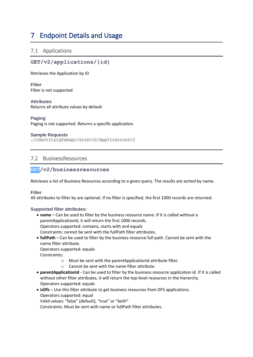## <span id="page-13-0"></span>7 Endpoint Details and Usage

#### <span id="page-13-1"></span>7.1 Applications

#### **GET/v2/applications/{id}**

Retrieves the Application by ID

<span id="page-13-2"></span>**Filter** Filter is not supported

<span id="page-13-3"></span>**Attributes** Returns all attribute values by default

#### <span id="page-13-4"></span>**Paging**

Paging is not supported. Returns a specific application.

#### <span id="page-13-5"></span>**Sample Requests**

./identityiqfamapi/scim/v2/Applications/2

#### <span id="page-13-6"></span>7.2 BusinessResources

#### **GET/v2/businessresources**

Retrieves a list of Business Resources according to a given query. The results are sorted by name.

<span id="page-13-7"></span>**Filter**

All attributes to filter by are optional. If no filter is specified, the first 1000 records are returned.

#### <span id="page-13-8"></span>**Supported filter attributes:**

- **name** Can be used to filter by the business resource name. If it is called without a parentApplicationId, it will return the first 1000 records. Operators supported: contains, starts with and equals Constraints: cannot be sent with the fullPath filter attributes.
- **fullPath** Can be used to filter by the business resource full path. Cannot be sent with the name filter attribute.

Operators supported: equals

Constraints:

- o Must be sent with the parentApplicationId attribute filter.
- o Cannot be sent with the name filter attribute.
- **parentApplicationId** Can be used to filter by the business resource application id. If it is called without other filter attributes, it will return the top-level resources in the hierarchy. Operators supported: equals
- **isDfs** Use this filter attribute to get business resources from DFS applications. Operators supported: equal Valid values: "false" (default), "true" or "both"

Constraints: Must be sent with name or fullPath filter attributes.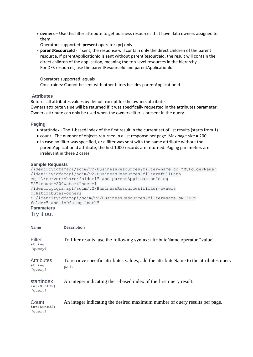- **owners** Use this filter attribute to get business resources that have data owners assigned to them.
	- Operators supported: **present** operator (pr) only
- **parentResourceId** If sent, the response will contain only the direct children of the parent resource. If parentApplicationId is sent without parentResourceId, the result will contain the direct children of the application, meaning the top-level resources in the hierarchy. For DFS resources, use the parentResourceId and parentApplicationId.

Operators supported: equals

Constraints: Cannot be sent with other filters besides parentApplicationId

#### <span id="page-14-0"></span>**Attributes**

Returns all attributes values by default except for the owners attribute. Owners attribute value will be returned if it was specifically requested in the attributes parameter. Owners attribute can only be used when the owners filter is present in the query.

#### <span id="page-14-1"></span>**Paging**

- startIndex The 1-based index of the first result in the current set of list results (starts from 1)
- count The number of objects returned in a list response per page. Max page size = 200.
- In case no filter was specified, or a filter was sent with the name attribute without the parentApplicationId attribute, the first 1000 records are returned. Paging parameters are irrelevant in these 2 cases.

#### <span id="page-14-2"></span>**Sample Requests**

```
/identityiqfamapi/scim/v2/BusinessResources?filter=name co "MyFolderName"
/identityiqfamapi/scim/v2/BusinessResources?filter=fullPath 
eq "\\server\share\folder1" and parentApplicationId eq 
"2"&count=200&startIndex=1
/identityiqfamapi/scim/v2/BusinessResources?filter=owners 
pr&attributes=owners
• /identityiqfamapi/scim/v2/BusinessResources?filter=name sw "DFS 
folder" and isDfs eq "both"
Parameters
```
<span id="page-14-3"></span>Try it out

| <b>Name</b>                             | <b>Description</b>                                                                              |
|-----------------------------------------|-------------------------------------------------------------------------------------------------|
| Filter<br>string<br>(query)             | To filter results, use the following syntax: attributeName operator "value".                    |
| <b>Attributes</b><br>string<br>(query)  | To retrieve specific attributes values, add the attribute Name to the attributes query<br>part. |
| startIndex<br>$int(\$int32)$<br>(query) | An integer indicating the 1-based index of the first query result.                              |
| Count<br>$int(\$int32)$<br>(query)      | An integer indicating the desired maximum number of query results per page.                     |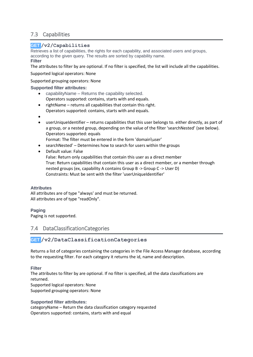#### <span id="page-15-0"></span>7.3 Capabilities

#### **GET /v2/Capabilities**

Retrieves a list of capabilities, the rights for each capability, and associated users and groups, according to the given query. The results are sorted by capability name.

#### <span id="page-15-1"></span>**Filter**

The attributes to filter by are optional. If no filter is specified, the list will include all the capabilities.

Supported logical operators: None

Supported grouping operators: None

#### <span id="page-15-2"></span>**Supported filter attributes:**

- capabilityName Returns the capability selected. Operators supported: contains, starts with and equals.
- rightName returns all capabilities that contain this right. Operators supported: contains, starts with and equals.
- •
- userUniqueIdentifier returns capabilities that this user belongs to. either directly, as part of a group, or a nested group, depending on the value of the filter 'searchNested' (see below). Operators supported: equals

Format: The filter must be entered in the form 'domain\user'

- searchNested' Determines how to search for users within the groups
- Default value: False

False: Return only capabilities that contain this user as a direct member True: Return capabilities that contain this user as a direct member, or a member through nested groups (ex, capability A contains Group B -> Group C -> User D) Constraints: Must be sent with the filter 'userUniqueIdentifier'

#### <span id="page-15-3"></span>**Attributes**

All attributes are of type "always' and must be returned. All attributes are of type "readOnly".

#### <span id="page-15-4"></span>**Paging**

Paging is not supported.

#### <span id="page-15-5"></span>7.4 DataClassificationCategories

#### **GET /v2/DataClassificationCategories**

Returns a list of categories containing the categories in the File Access Manager database, according to the requesting filter. For each category it returns the id, name and description.

#### <span id="page-15-6"></span>**Filter**

The attributes to filter by are optional. If no filter is specified, all the data classifications are returned.

Supported logical operators: None Supported grouping operators: None

#### <span id="page-15-7"></span>**Supported filter attributes:**

categoryName – Return the data classification category requested Operators supported: contains, starts with and equal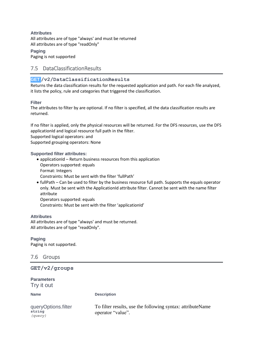<span id="page-16-0"></span>**Attributes** All attributes are of type "always' and must be returned All attributes are of type "readOnly"

<span id="page-16-1"></span>**Paging** Paging is not supported

#### <span id="page-16-2"></span>7.5 DataClassificationResults

#### **GET /v2/DataClassificationResults**

Returns the data classification results for the requested application and path. For each file analyzed, it lists the policy, rule and categories that triggered the classification.

#### <span id="page-16-3"></span>**Filter**

The attributes to filter by are optional. If no filter is specified, all the data classification results are returned.

If no filter is applied, only the physical resources will be returned. For the DFS resources, use the DFS applicationId and logical resource full path in the filter.

Supported logical operators: and

Supported grouping operators: None

#### <span id="page-16-4"></span>**Supported filter attributes:**

- applicationId Return business resources from this application Operators supported: equals Format: Integers Constraints: Must be sent with the filter 'fullPath'
- fullPath Can be used to filter by the business resource full path. Supports the equals operator only. Must be sent with the ApplicationId attribute filter. Cannot be sent with the name filter attribute Operators supported: equals Constraints: Must be sent with the filter 'applicationId'

#### <span id="page-16-5"></span>**Attributes**

All attributes are of type "always' and must be returned. All attributes are of type "readOnly".

<span id="page-16-6"></span>**Paging** Paging is not supported.

<span id="page-16-7"></span>7.6 Groups

**GET/v2/groups**

<span id="page-16-8"></span>**Parameters** Try it out

**Name Description** 

| queryOptions.filter | To filter results, use the following syntax: attributeName |
|---------------------|------------------------------------------------------------|
| string              | operator "value".                                          |
| (query)             |                                                            |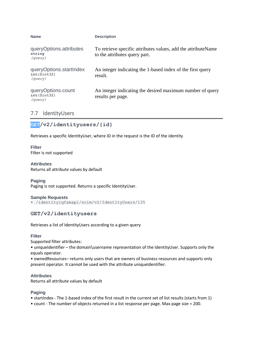| <b>Name</b>                                        | <b>Description</b>                                                                             |
|----------------------------------------------------|------------------------------------------------------------------------------------------------|
| queryOptions.attributes<br>string<br>(query)       | To retrieve specific attributes values, add the attributeName<br>to the attributes query part. |
| queryOptions.startIndex<br>int(\$int32)<br>(query) | An integer indicating the 1-based index of the first query<br>result.                          |
| queryOptions.count<br>$int(\$int32)$<br>(query)    | An integer indicating the desired maximum number of query<br>results per page.                 |

#### <span id="page-17-0"></span>7.7 IdentityUsers

#### **GET/v2/identityusers/{id}**

Retrieves a specific IdentityUser, where ID in the request is the ID of the identity

<span id="page-17-1"></span>**Filter** Filter is not supported

#### <span id="page-17-2"></span>**Attributes**

Returns all attribute values by default

<span id="page-17-3"></span>**Paging**

Paging is not supported. Returns a specific IdentityUser.

#### <span id="page-17-4"></span>**Sample Requests**

• /identityiqfamapi/scim/v2/IdentityUsers/135

#### **GET/v2/identityusers**

Retrieves a list of IdentityUsers according to a given query

#### <span id="page-17-5"></span>**Filter**

Supported filter attributes:

• uniqueIdentifier – the domain\username representation of the IdentityUser. Supports only the equals operator.

• ownedResources– returns only users that are owners of business resources and supports only present operator. It cannot be used with the attribute uniqueIdentifier.

#### <span id="page-17-6"></span>**Attributes**

Returns all attribute values by default

#### <span id="page-17-7"></span>**Paging**

- startIndex The 1-based index of the first result in the current set of list results (starts from 1)
- count The number of objects returned in a list response per page. Max page size = 200.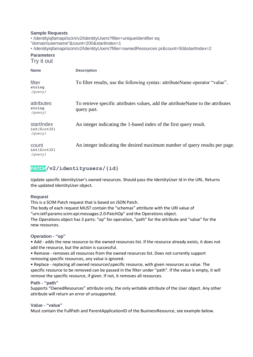#### <span id="page-18-0"></span>**Sample Requests**

<span id="page-18-1"></span>• /identityiqfamapi/scim/v2/IdentityUsers?filter=uniqueIdentifier eq "domain\username"&count=200&startIndex=1 • /identityiqfamapi/scim/v2/IdentityUsers?filter=ownedResources pr&count=50&startIndex=2 **Parameters** Try it out **Name Description** filter **string** *(query)* To filter results, use the following syntax: attributeName operator "value". attributes **string** *(query)* To retrieve specific attributes values, add the attributeName to the attributes query part. startIndex **int(\$int32)** *(query)* An integer indicating the 1-based index of the first query result. count **int(\$int32)** *(query)* An integer indicating the desired maximum number of query results per page.

#### **PATCH/v2/identityusers/{id}**

Update specific IdentityUser's owned resources. Should pass the IdentityUser Id in the URL. Returns the updated IdentityUser object.

#### <span id="page-18-2"></span>**Request**

This is a SCIM Patch request that is based on JSON Patch.

The body of each request MUST contain the "schemas" attribute with the URI value of "urn:ietf:params:scim:api:messages:2.0:PatchOp" and the Operations object. The Operations object has 3 parts: "op" for operation, "path" for the attribute and "value" for the new resources.

#### <span id="page-18-3"></span>**Operation - "op"**

• Add - adds the new resource to the owned resources list. If the resource already exists, it does not add the resource, but the action is successful.

• Remove - removes all resources from the owned resources list. Does not currently support removing specific resources, any value is ignored.

• Replace - replacing all owned resources\specific resource, with given resources as value. The specific resource to be removed can be passed in the filter under "path". If the value is empty, it will remove the specific resource, if given. If not, it removes all resources.

#### <span id="page-18-4"></span>**Path - "path"**

Supports "OwnedResources" attribute only, the only writable attribute of the User object. Any other attribute will return an error of unsupported.

#### <span id="page-18-5"></span>**Value - "value"**

Must contain the FullPath and ParentApplicationID of the BusinessResource, see example below.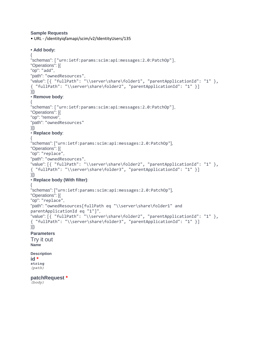#### <span id="page-19-0"></span>**Sample Requests**

• URL - /identityiqfamapi/scim/v2/IdentityUsers/135

```
• Add body:
{
"schemas": ["urn:ietf:params:scim:api:messages:2.0:PatchOp"],
"Operations": [{
"op": "add",
"path": "ownedResources",
"value": [{ "fullPath": "\\server\share\folder1", "parentApplicationId": "1" }, 
{ "fullPath": "\\server\share\folder2", "parentApplicationId": "1" }]
}]}
• Remove body:
{
"schemas": ["urn:ietf:params:scim:api:messages:2.0:PatchOp"],
"Operations": [{
"op": "remove",
"path": "ownedResources"
}]}
• Replace body:
{
"schemas": ["urn:ietf:params:scim:api:messages:2.0:PatchOp"],
"Operations": [{
"op": "replace",
"path": "ownedResources",
"value": [{ "fullPath": "\\server\share\folder2", "parentApplicationId": "1" }, 
{ "fullPath": "\\server\share\folder3", "parentApplicationId": "1" }]
}]}
• Replace body (With filter):
{
"schemas": ["urn:ietf:params:scim:api:messages:2.0:PatchOp"],
"Operations": [{
"op": "replace",
"path": "ownedResources[fullPath eq "\\server\share\folder1" and 
parentApplicationId eq "1"]",
"value": [{ "fullPath": "\\server\share\folder2", "parentApplicationId": "1" }, 
{ "fullPath": "\\server\share\folder3", "parentApplicationId": "1" }]
}]}
Parameters
Try it out
Name
Description
id *
string
(path)
patchRequest *
```
<span id="page-19-2"></span>*(body)*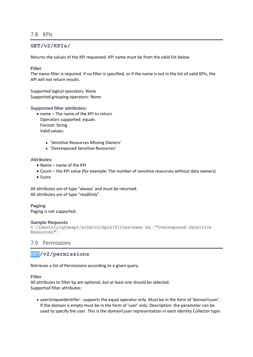#### <span id="page-20-0"></span>7.8 KPIs

#### **GET/v2/KPIs/**

Returns the values of the KPI requested. KPI name must be from the valid list below

#### <span id="page-20-1"></span>**Filter**

The name filter is required. If no filter is specified, or if the name is not in the list of valid KPIs, the API will not return results.

Supported logical operators: None Supported grouping operators: None

#### <span id="page-20-2"></span>**Supported filter attributes:**

- name The name of the KPI to return Operators supported: equals Format: String Valid values:
	- <sup>⧫</sup> 'Sensitive Resources Missing Owners'
	- <sup>⧫</sup> 'Overexposed Sensitive Resources'

#### <span id="page-20-3"></span>**Attributes**

- Name name of the KPI
- Count the KPI value (for example: The number of sensitive resources without data owners)
- Score

All attributes are of type "always' and must be returned. All attributes are of type "readOnly".

#### <span id="page-20-4"></span>**Paging**

Paging is not supported.

#### <span id="page-20-5"></span>**Sample Requests**

```
• /identityiqfamapi/scim/v2/kpis?filter=name eq `"Overexposed Sensitive 
Resources"`
```
#### <span id="page-20-6"></span>7.9 Permissions

#### **GET/v2/permissions**

Retrieves a list of Permissions according to a given query.

#### <span id="page-20-7"></span>**Filter**

All attributes to filter by are optional, but at least one should be selected. Supported filter attributes:

• userUniqueIdentifier - supports the equal operator only. Must be in the form of 'domain\user'. If the domain is empty must be in the form of 'user' only. Description: the parameter can be used to specify the user. This is the domain\user representation in each Identity Collector type: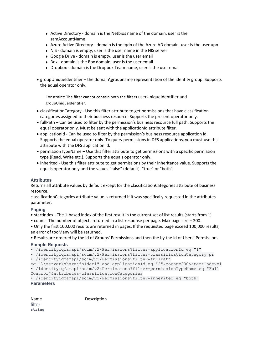- ◆ Active Directory domain is the Netbios name of the domain, user is the samAccountName
- ◆ Azure Active Directory domain is the fgdn of the Azure AD domain, user is the user upn
- ◆ NIS domain is empty, user is the user name in the NIS server
- <sup>⧫</sup> Google Drive domain is empty, user is the user email
- ◆ Box domain is the Box domain, user is the user email
- ◆ Dropbox domain is the Dropbox Team name, user is the user email
- groupUniqueIdentifier the domain\groupname representation of the identity group. Supports the equal operator only.

Constraint: The filter cannot contain both the filters userUniqueIdentifier and groupUniqueIdentifier.

- classificationCategory Use this filter attribute to get permissions that have classification categories assigned to their business resource. Supports the present operator only.
- fullPath Can be used to filter by the permission's business resource full path. Supports the equal operator only. Must be sent with the applicationId attribute filter.
- applicationId Can be used to filter by the permission's business resource application id. Supports the equal operator only. To query permissions in DFS applications, you must use this attribute with the DFS application id.
- permissionTypeName Use this filter attribute to get permissions with a specific permission type (Read, Write etc.). Supports the equals operator only.
- inherited Use this filter attribute to get permissions by their inheritance value. Supports the equals operator only and the values "false" (default), "true" or "both".

#### <span id="page-21-0"></span>**Attributes**

Returns all attribute values by default except for the classificationCategories attribute of business resource.

classificationCategories attribute value is returned if it was specifically requested in the attributes parameter.

#### <span id="page-21-1"></span>**Paging**

- startIndex The 1-based index of the first result in the current set of list results (starts from 1)
- count The number of objects returned in a list response per page. Max page size = 200.

• Only the first 100,000 results are returned in pages. If the requested page exceed 100,000 results, an error of tooMany will be returned.

• Results are ordered by the Id of Groups' Permissions and then the by the Id of Users' Permissions.

#### <span id="page-21-2"></span>**Sample Requests**

• /identityiqfamapi/scim/v2/Permissions?filter=applicationId eq "1"

```
• /identityiqfamapi/scim/v2/Permissions?filter=classificationCategory pr
```

```
• /identityiqfamapi/scim/v2/Permissions?filter=fullPath
```

```
eq "\\server\share\folder1" and applicationId eq "2"&count=200&startIndex=1
```

```
• /identityiqfamapi/scim/v2/Permissions?filter=permissionTypeName eq "Full
```

```
Control"&attributes=classificationCategories
```

```
• /identityiqfamapi/scim/v2/Permissions?filter=inherited eq "both"
Parameters
```
Name Description filter **string**